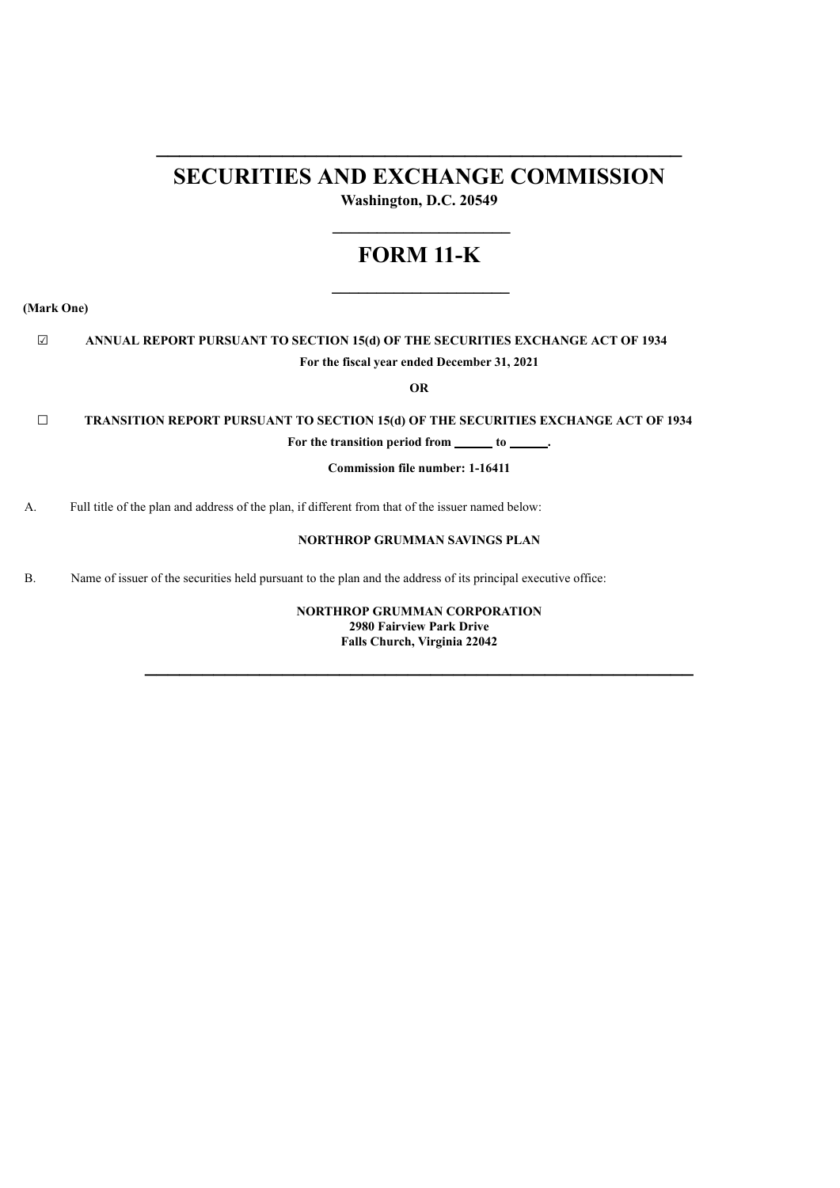# **SECURITIES AND EXCHANGE COMMISSION**

**\_\_\_\_\_\_\_\_\_\_\_\_\_\_\_\_\_\_\_\_\_\_\_\_\_\_\_\_\_\_\_\_\_\_\_\_\_\_\_\_\_\_\_\_\_\_**

**Washington, D.C. 20549 \_\_\_\_\_\_\_\_\_\_\_\_\_\_\_\_\_\_\_\_**

# **FORM 11-K**

**\_\_\_\_\_\_\_\_\_\_\_\_\_\_\_\_\_\_\_\_**

**(Mark One)**

☑ **ANNUAL REPORT PURSUANT TO SECTION 15(d) OF THE SECURITIES EXCHANGE ACT OF 1934 For the fiscal year ended December 31, 2021**

**OR**

☐ **TRANSITION REPORT PURSUANT TO SECTION 15(d) OF THE SECURITIES EXCHANGE ACT OF 1934**

For the transition period from <u>the sum of the sum of the sum of  $\mathbf{r}$  is the sum of  $\mathbf{r}$ </u>

**Commission file number: 1-16411**

A. Full title of the plan and address of the plan, if different from that of the issuer named below:

## **NORTHROP GRUMMAN SAVINGS PLAN**

B. Name of issuer of the securities held pursuant to the plan and the address of its principal executive office:

**NORTHROP GRUMMAN CORPORATION 2980 Fairview Park Drive Falls Church, Virginia 22042**

**\_\_\_\_\_\_\_\_\_\_\_\_\_\_\_\_\_\_\_\_\_\_\_\_\_\_\_\_\_\_\_\_\_\_\_\_\_\_\_\_\_\_\_\_\_\_\_\_**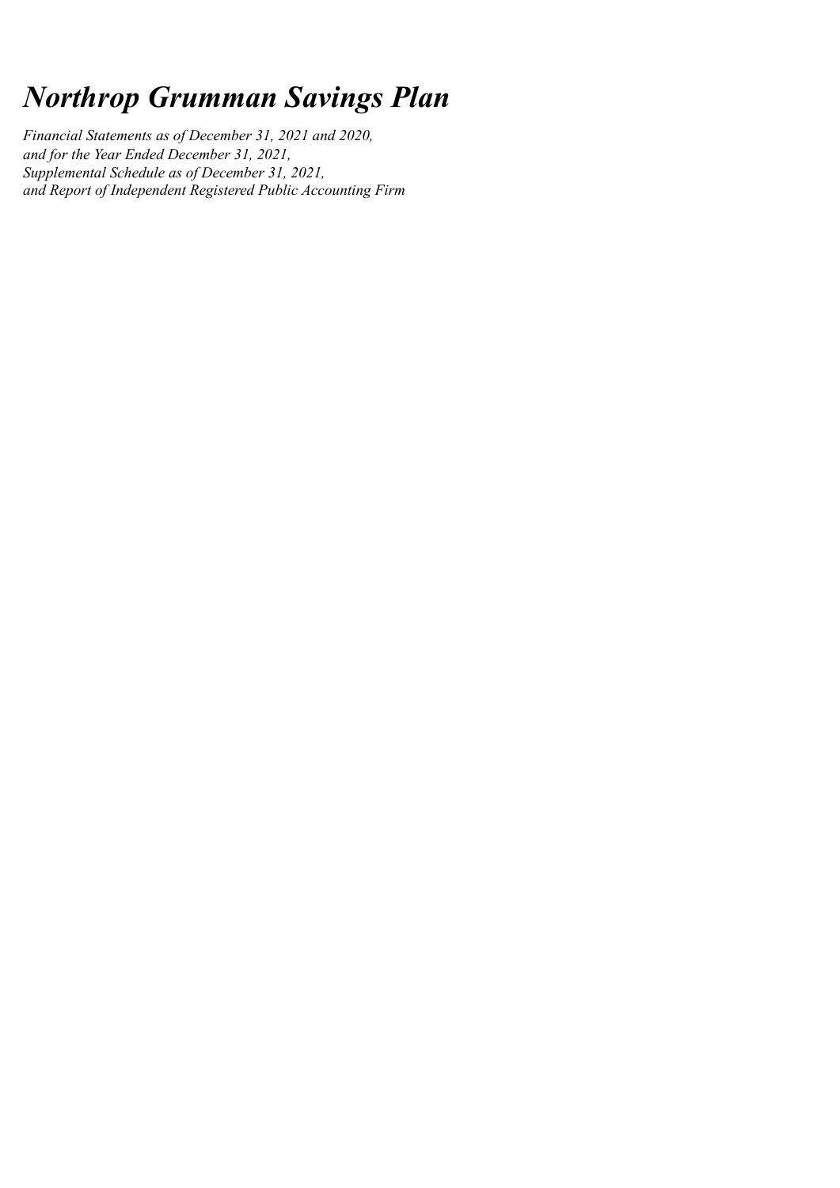# *Northrop Grumman Savings Plan*

*Financial Statements as of December 31, 2021 and 2020, and for the Year Ended December 31, 2021, Supplemental Schedule as of December 31, 2021, and Report of Independent Registered Public Accounting Firm*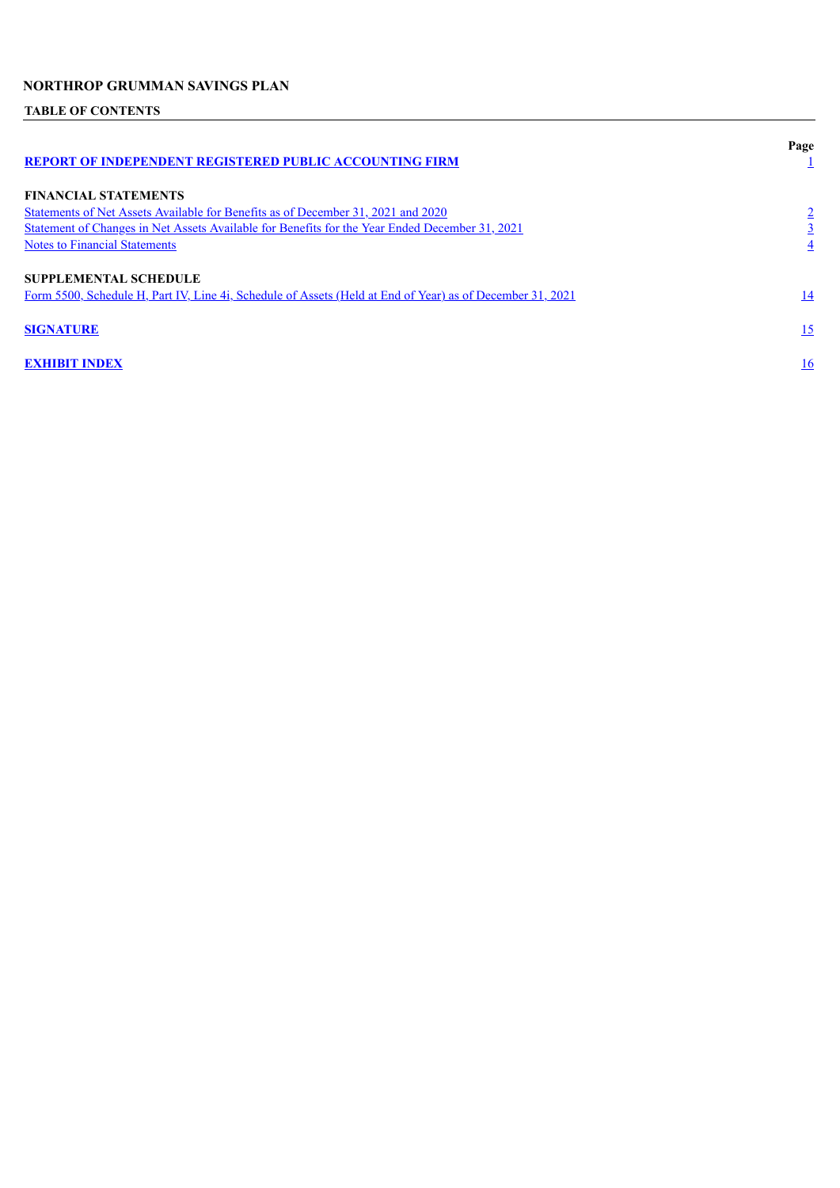# **TABLE OF CONTENTS**

<span id="page-2-0"></span>

| <b>REPORT OF INDEPENDENT REGISTERED PUBLIC ACCOUNTING FIRM</b>                                                                            | Page      |
|-------------------------------------------------------------------------------------------------------------------------------------------|-----------|
| <b>FINANCIAL STATEMENTS</b><br>Statements of Net Assets Available for Benefits as of December 31, 2021 and 2020                           |           |
| Statement of Changes in Net Assets Available for Benefits for the Year Ended December 31, 2021<br><b>Notes to Financial Statements</b>    | 4         |
| <b>SUPPLEMENTAL SCHEDULE</b><br>Form 5500, Schedule H, Part IV, Line 4i, Schedule of Assets (Held at End of Year) as of December 31, 2021 | <u>14</u> |
| <b>SIGNATURE</b>                                                                                                                          | 15        |
| <b>EXHIBIT INDEX</b>                                                                                                                      | 16        |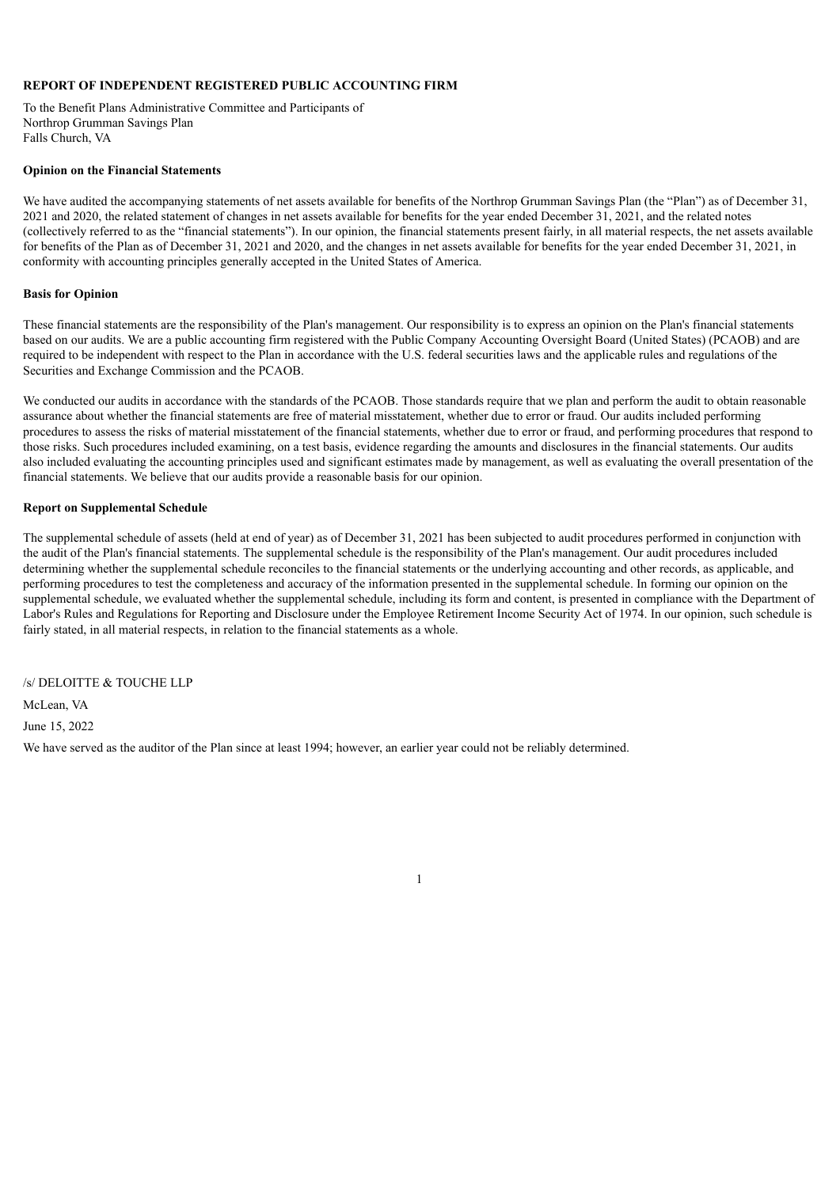#### **REPORT OF INDEPENDENT REGISTERED PUBLIC ACCOUNTING FIRM**

To the Benefit Plans Administrative Committee and Participants of Northrop Grumman Savings Plan Falls Church, VA

#### **Opinion on the Financial Statements**

We have audited the accompanying statements of net assets available for benefits of the Northrop Grumman Savings Plan (the "Plan") as of December 31, 2021 and 2020, the related statement of changes in net assets available for benefits for the year ended December 31, 2021, and the related notes (collectively referred to as the "financial statements"). In our opinion, the financial statements present fairly, in all material respects, the net assets available for benefits of the Plan as of December 31, 2021 and 2020, and the changes in net assets available for benefits for the year ended December 31, 2021, in conformity with accounting principles generally accepted in the United States of America.

#### **Basis for Opinion**

These financial statements are the responsibility of the Plan's management. Our responsibility is to express an opinion on the Plan's financial statements based on our audits. We are a public accounting firm registered with the Public Company Accounting Oversight Board (United States) (PCAOB) and are required to be independent with respect to the Plan in accordance with the U.S. federal securities laws and the applicable rules and regulations of the Securities and Exchange Commission and the PCAOB.

We conducted our audits in accordance with the standards of the PCAOB. Those standards require that we plan and perform the audit to obtain reasonable assurance about whether the financial statements are free of material misstatement, whether due to error or fraud. Our audits included performing procedures to assess the risks of material misstatement of the financial statements, whether due to error or fraud, and performing procedures that respond to those risks. Such procedures included examining, on a test basis, evidence regarding the amounts and disclosures in the financial statements. Our audits also included evaluating the accounting principles used and significant estimates made by management, as well as evaluating the overall presentation of the financial statements. We believe that our audits provide a reasonable basis for our opinion.

#### **Report on Supplemental Schedule**

The supplemental schedule of assets (held at end of year) as of December 31, 2021 has been subjected to audit procedures performed in conjunction with the audit of the Plan's financial statements. The supplemental schedule is the responsibility of the Plan's management. Our audit procedures included determining whether the supplemental schedule reconciles to the financial statements or the underlying accounting and other records, as applicable, and performing procedures to test the completeness and accuracy of the information presented in the supplemental schedule. In forming our opinion on the supplemental schedule, we evaluated whether the supplemental schedule, including its form and content, is presented in compliance with the Department of Labor's Rules and Regulations for Reporting and Disclosure under the Employee Retirement Income Security Act of 1974. In our opinion, such schedule is fairly stated, in all material respects, in relation to the financial statements as a whole.

1

/s/ DELOITTE & TOUCHE LLP

McLean, VA

June 15, 2022

<span id="page-3-0"></span>We have served as the auditor of the Plan since at least 1994; however, an earlier year could not be reliably determined.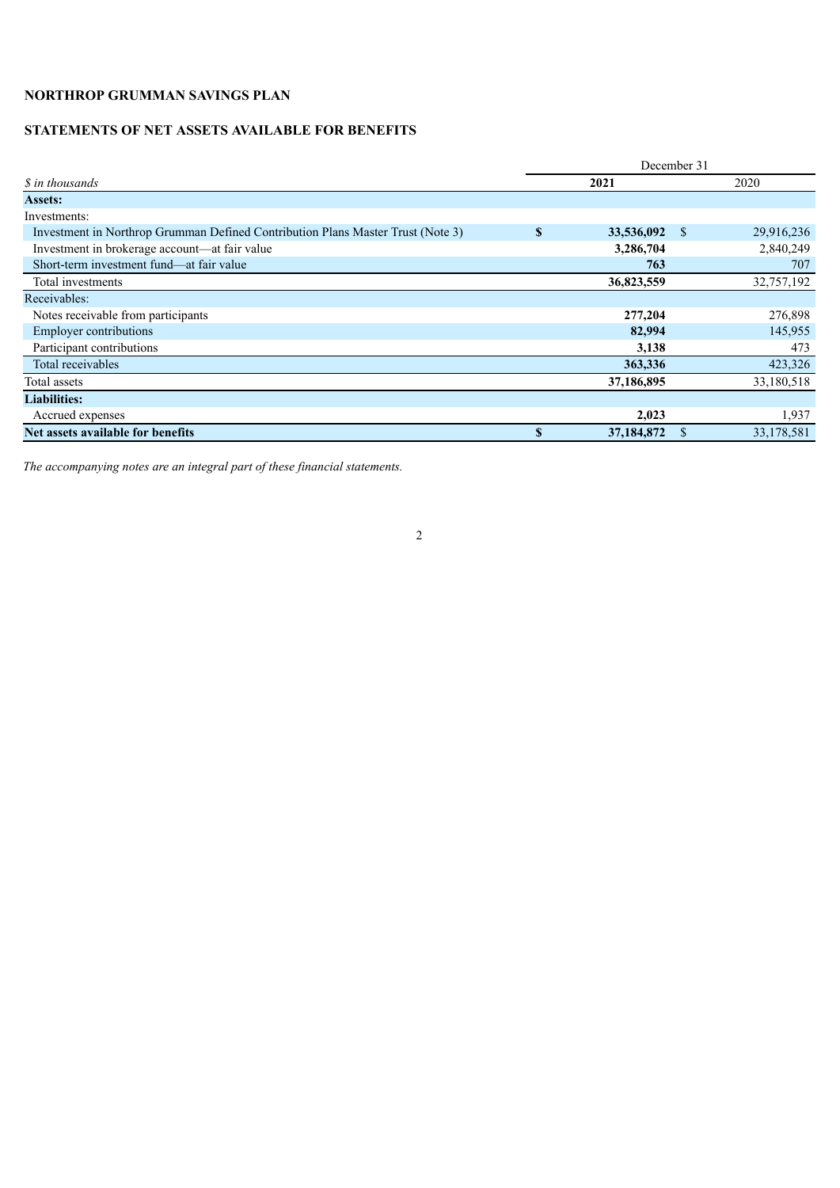# **STATEMENTS OF NET ASSETS AVAILABLE FOR BENEFITS**

|                                                                                 |              | December 31 |   |            |  |  |  |  |
|---------------------------------------------------------------------------------|--------------|-------------|---|------------|--|--|--|--|
| \$ in thousands                                                                 |              | 2021        |   | 2020       |  |  |  |  |
| <b>Assets:</b>                                                                  |              |             |   |            |  |  |  |  |
| Investments:                                                                    |              |             |   |            |  |  |  |  |
| Investment in Northrop Grumman Defined Contribution Plans Master Trust (Note 3) | $\mathbf{s}$ | 33,536,092  | S | 29,916,236 |  |  |  |  |
| Investment in brokerage account—at fair value                                   |              | 3,286,704   |   | 2,840,249  |  |  |  |  |
| Short-term investment fund—at fair value                                        |              | 763         |   | 707        |  |  |  |  |
| Total investments                                                               |              | 36,823,559  |   | 32,757,192 |  |  |  |  |
| Receivables:                                                                    |              |             |   |            |  |  |  |  |
| Notes receivable from participants                                              |              | 277,204     |   | 276,898    |  |  |  |  |
| <b>Employer contributions</b>                                                   |              | 82,994      |   | 145,955    |  |  |  |  |
| Participant contributions                                                       |              | 3,138       |   | 473        |  |  |  |  |
| Total receivables                                                               |              | 363,336     |   | 423,326    |  |  |  |  |
| Total assets                                                                    |              | 37,186,895  |   | 33,180,518 |  |  |  |  |
| <b>Liabilities:</b>                                                             |              |             |   |            |  |  |  |  |
| Accrued expenses                                                                |              | 2,023       |   | 1,937      |  |  |  |  |
| Net assets available for benefits                                               | \$           | 37,184,872  |   | 33,178,581 |  |  |  |  |

<span id="page-4-0"></span>*The accompanying notes are an integral part of these financial statements.*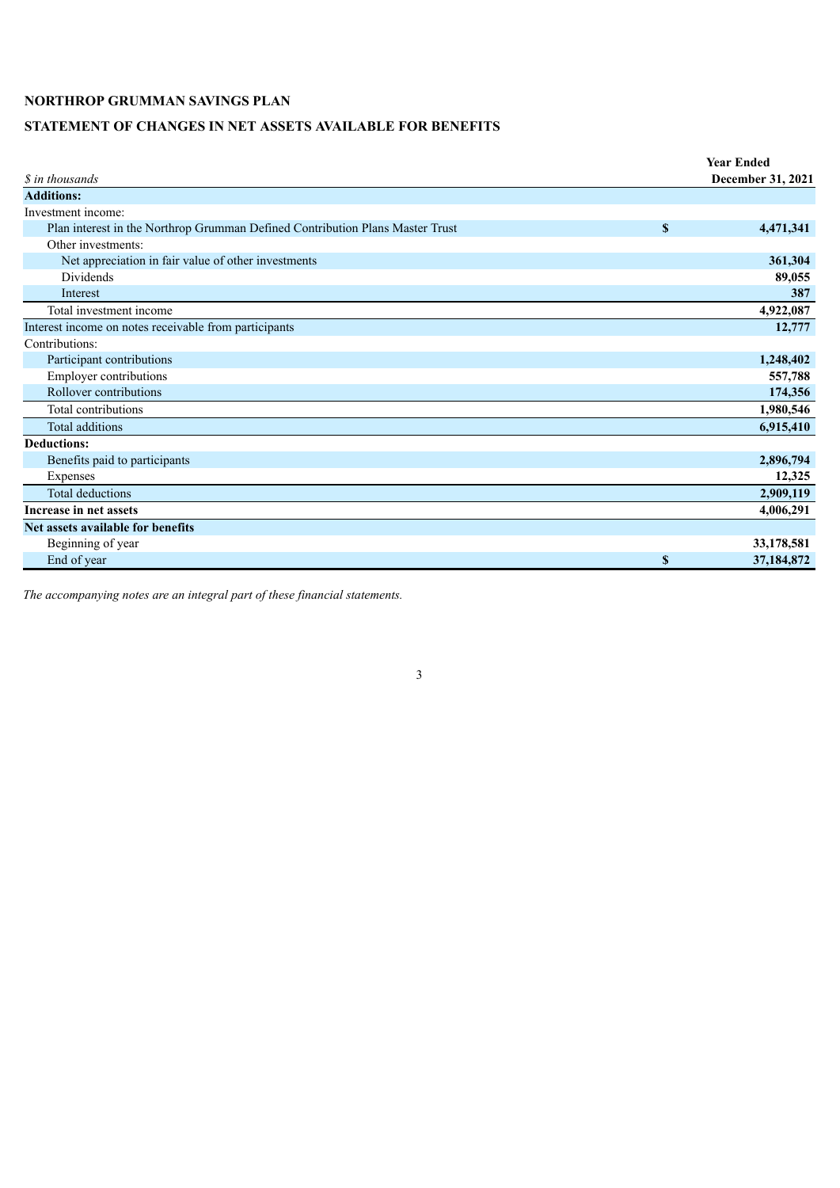# **STATEMENT OF CHANGES IN NET ASSETS AVAILABLE FOR BENEFITS**

|                                                                               |          | <b>Year Ended</b> |
|-------------------------------------------------------------------------------|----------|-------------------|
| <i>S</i> in thousands                                                         |          | December 31, 2021 |
| <b>Additions:</b>                                                             |          |                   |
| Investment income:                                                            |          |                   |
| Plan interest in the Northrop Grumman Defined Contribution Plans Master Trust | <b>S</b> | 4,471,341         |
| Other investments:                                                            |          |                   |
| Net appreciation in fair value of other investments                           |          | 361,304           |
| Dividends                                                                     |          | 89,055            |
| Interest                                                                      |          | 387               |
| Total investment income                                                       |          | 4,922,087         |
| Interest income on notes receivable from participants                         |          | 12,777            |
| Contributions:                                                                |          |                   |
| Participant contributions                                                     |          | 1,248,402         |
| <b>Employer contributions</b>                                                 |          | 557,788           |
| Rollover contributions                                                        |          | 174,356           |
| Total contributions                                                           |          | 1,980,546         |
| Total additions                                                               |          | 6,915,410         |
| <b>Deductions:</b>                                                            |          |                   |
| Benefits paid to participants                                                 |          | 2,896,794         |
| Expenses                                                                      |          | 12,325            |
| Total deductions                                                              |          | 2,909,119         |
| Increase in net assets                                                        |          | 4,006,291         |
| Net assets available for benefits                                             |          |                   |
| Beginning of year                                                             |          | 33,178,581        |
| End of year                                                                   | \$       | 37,184,872        |

<span id="page-5-0"></span>*The accompanying notes are an integral part of these financial statements.*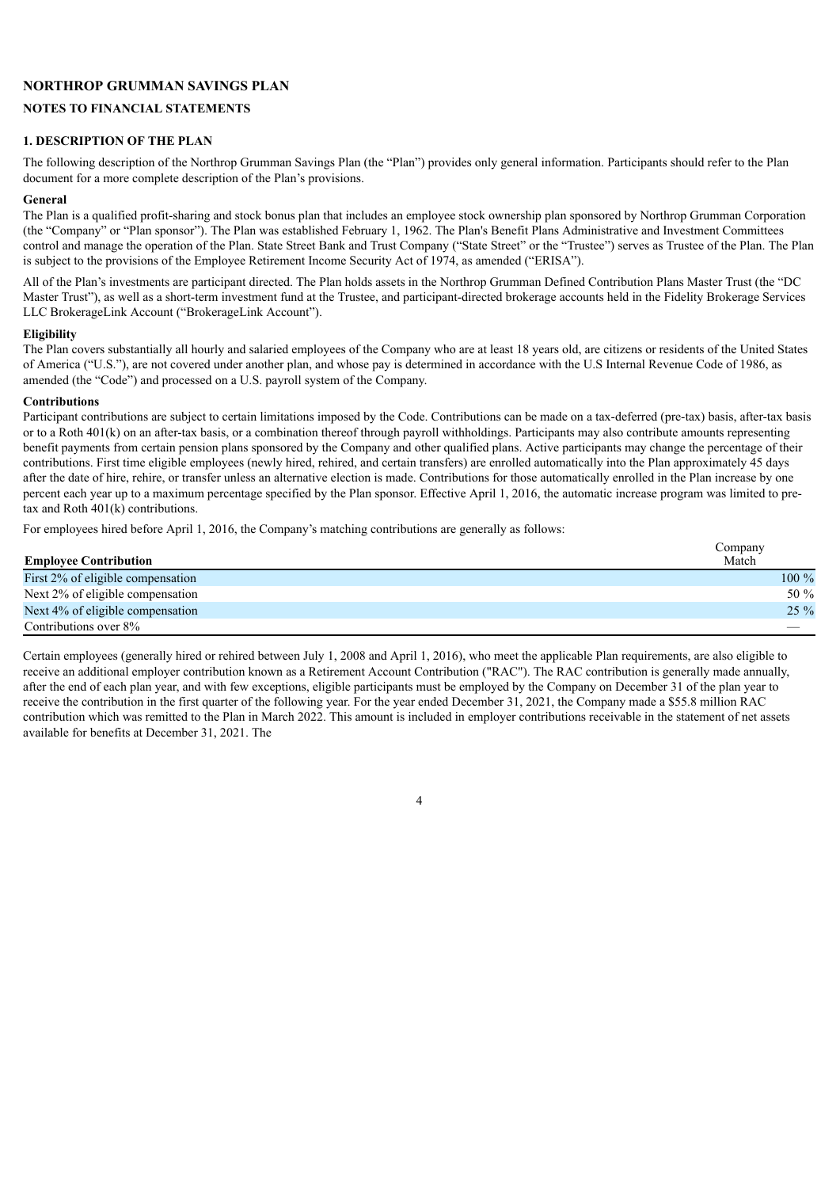#### **NOTES TO FINANCIAL STATEMENTS**

# **1. DESCRIPTION OF THE PLAN**

The following description of the Northrop Grumman Savings Plan (the "Plan") provides only general information. Participants should refer to the Plan document for a more complete description of the Plan's provisions.

#### **General**

The Plan is a qualified profit-sharing and stock bonus plan that includes an employee stock ownership plan sponsored by Northrop Grumman Corporation (the "Company" or "Plan sponsor"). The Plan was established February 1, 1962. The Plan's Benefit Plans Administrative and Investment Committees control and manage the operation of the Plan. State Street Bank and Trust Company ("State Street" or the "Trustee") serves as Trustee of the Plan. The Plan is subject to the provisions of the Employee Retirement Income Security Act of 1974, as amended ("ERISA").

All of the Plan's investments are participant directed. The Plan holds assets in the Northrop Grumman Defined Contribution Plans Master Trust (the "DC Master Trust"), as well as a short-term investment fund at the Trustee, and participant-directed brokerage accounts held in the Fidelity Brokerage Services LLC BrokerageLink Account ("BrokerageLink Account").

#### **Eligibility**

The Plan covers substantially all hourly and salaried employees of the Company who are at least 18 years old, are citizens or residents of the United States of America ("U.S."), are not covered under another plan, and whose pay is determined in accordance with the U.S Internal Revenue Code of 1986, as amended (the "Code") and processed on a U.S. payroll system of the Company.

#### **Contributions**

Participant contributions are subject to certain limitations imposed by the Code. Contributions can be made on a tax-deferred (pre-tax) basis, after-tax basis or to a Roth 401(k) on an after-tax basis, or a combination thereof through payroll withholdings. Participants may also contribute amounts representing benefit payments from certain pension plans sponsored by the Company and other qualified plans. Active participants may change the percentage of their contributions. First time eligible employees (newly hired, rehired, and certain transfers) are enrolled automatically into the Plan approximately 45 days after the date of hire, rehire, or transfer unless an alternative election is made. Contributions for those automatically enrolled in the Plan increase by one percent each year up to a maximum percentage specified by the Plan sponsor. Effective April 1, 2016, the automatic increase program was limited to pretax and Roth  $401(k)$  contributions.

For employees hired before April 1, 2016, the Company's matching contributions are generally as follows:

|                                   | Company |
|-----------------------------------|---------|
| <b>Employee Contribution</b>      | Match   |
| First 2% of eligible compensation | $100\%$ |
| Next 2% of eligible compensation  | 50 $\%$ |
| Next 4% of eligible compensation  | $25\%$  |
| Contributions over 8%             |         |

Certain employees (generally hired or rehired between July 1, 2008 and April 1, 2016), who meet the applicable Plan requirements, are also eligible to receive an additional employer contribution known as a Retirement Account Contribution ("RAC"). The RAC contribution is generally made annually, after the end of each plan year, and with few exceptions, eligible participants must be employed by the Company on December 31 of the plan year to receive the contribution in the first quarter of the following year. For the year ended December 31, 2021, the Company made a \$55.8 million RAC contribution which was remitted to the Plan in March 2022. This amount is included in employer contributions receivable in the statement of net assets available for benefits at December 31, 2021. The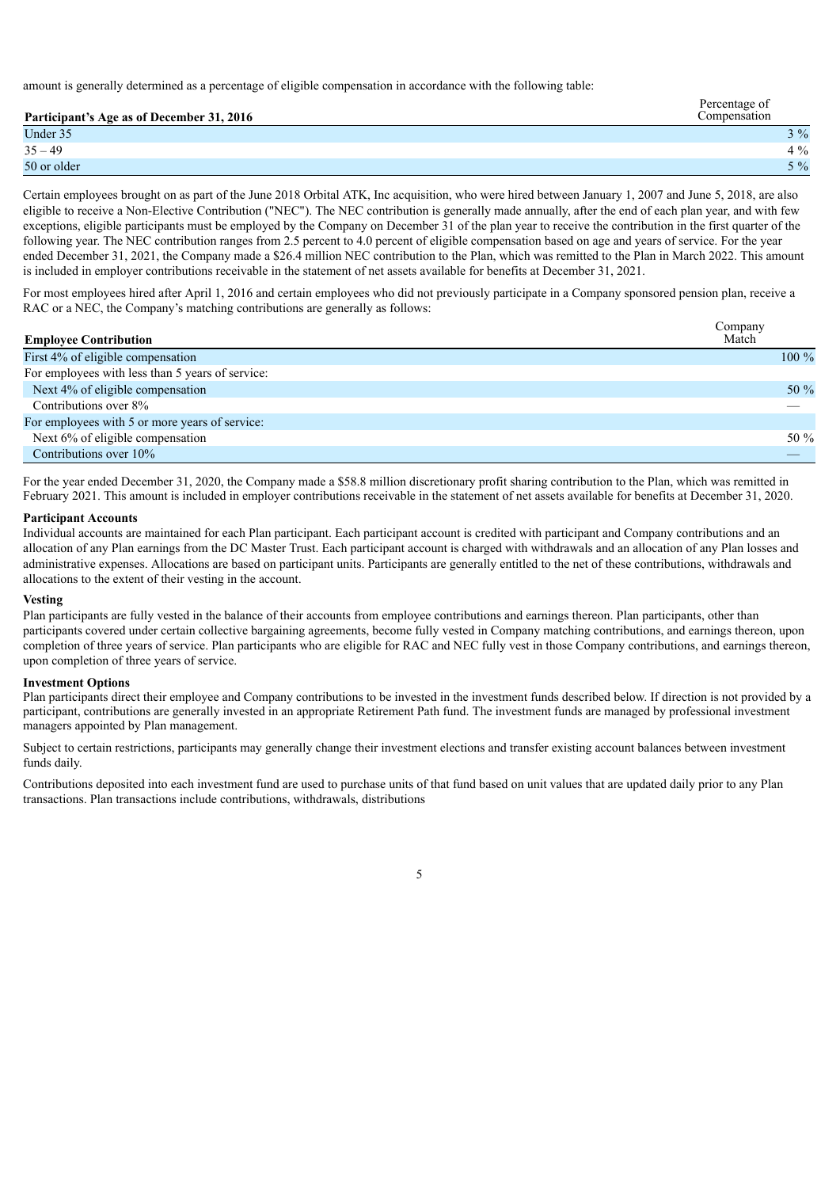amount is generally determined as a percentage of eligible compensation in accordance with the following table:

| Participant's Age as of December 31, 2016 | Percentage of<br>Compensation |
|-------------------------------------------|-------------------------------|
| Under 35                                  | $3\%$                         |
| $35 - 49$                                 | $4\%$                         |
| 50 or older                               | $5\%$                         |

Certain employees brought on as part of the June 2018 Orbital ATK, Inc acquisition, who were hired between January 1, 2007 and June 5, 2018, are also eligible to receive a Non-Elective Contribution ("NEC"). The NEC contribution is generally made annually, after the end of each plan year, and with few exceptions, eligible participants must be employed by the Company on December 31 of the plan year to receive the contribution in the first quarter of the following year. The NEC contribution ranges from 2.5 percent to 4.0 percent of eligible compensation based on age and years of service. For the year ended December 31, 2021, the Company made a \$26.4 million NEC contribution to the Plan, which was remitted to the Plan in March 2022. This amount is included in employer contributions receivable in the statement of net assets available for benefits at December 31, 2021.

For most employees hired after April 1, 2016 and certain employees who did not previously participate in a Company sponsored pension plan, receive a RAC or a NEC, the Company's matching contributions are generally as follows:

|                                                  | Company |
|--------------------------------------------------|---------|
| <b>Employee Contribution</b>                     | Match   |
| First 4% of eligible compensation                | $100\%$ |
| For employees with less than 5 years of service: |         |
| Next 4% of eligible compensation                 | $50\%$  |
| Contributions over 8%                            |         |
| For employees with 5 or more years of service:   |         |
| Next 6% of eligible compensation                 | 50 $\%$ |
| Contributions over 10%                           |         |

For the year ended December 31, 2020, the Company made a \$58.8 million discretionary profit sharing contribution to the Plan, which was remitted in February 2021. This amount is included in employer contributions receivable in the statement of net assets available for benefits at December 31, 2020.

#### **Participant Accounts**

Individual accounts are maintained for each Plan participant. Each participant account is credited with participant and Company contributions and an allocation of any Plan earnings from the DC Master Trust. Each participant account is charged with withdrawals and an allocation of any Plan losses and administrative expenses. Allocations are based on participant units. Participants are generally entitled to the net of these contributions, withdrawals and allocations to the extent of their vesting in the account.

#### **Vesting**

Plan participants are fully vested in the balance of their accounts from employee contributions and earnings thereon. Plan participants, other than participants covered under certain collective bargaining agreements, become fully vested in Company matching contributions, and earnings thereon, upon completion of three years of service. Plan participants who are eligible for RAC and NEC fully vest in those Company contributions, and earnings thereon, upon completion of three years of service.

#### **Investment Options**

Plan participants direct their employee and Company contributions to be invested in the investment funds described below. If direction is not provided by a participant, contributions are generally invested in an appropriate Retirement Path fund. The investment funds are managed by professional investment managers appointed by Plan management.

Subject to certain restrictions, participants may generally change their investment elections and transfer existing account balances between investment funds daily.

Contributions deposited into each investment fund are used to purchase units of that fund based on unit values that are updated daily prior to any Plan transactions. Plan transactions include contributions, withdrawals, distributions

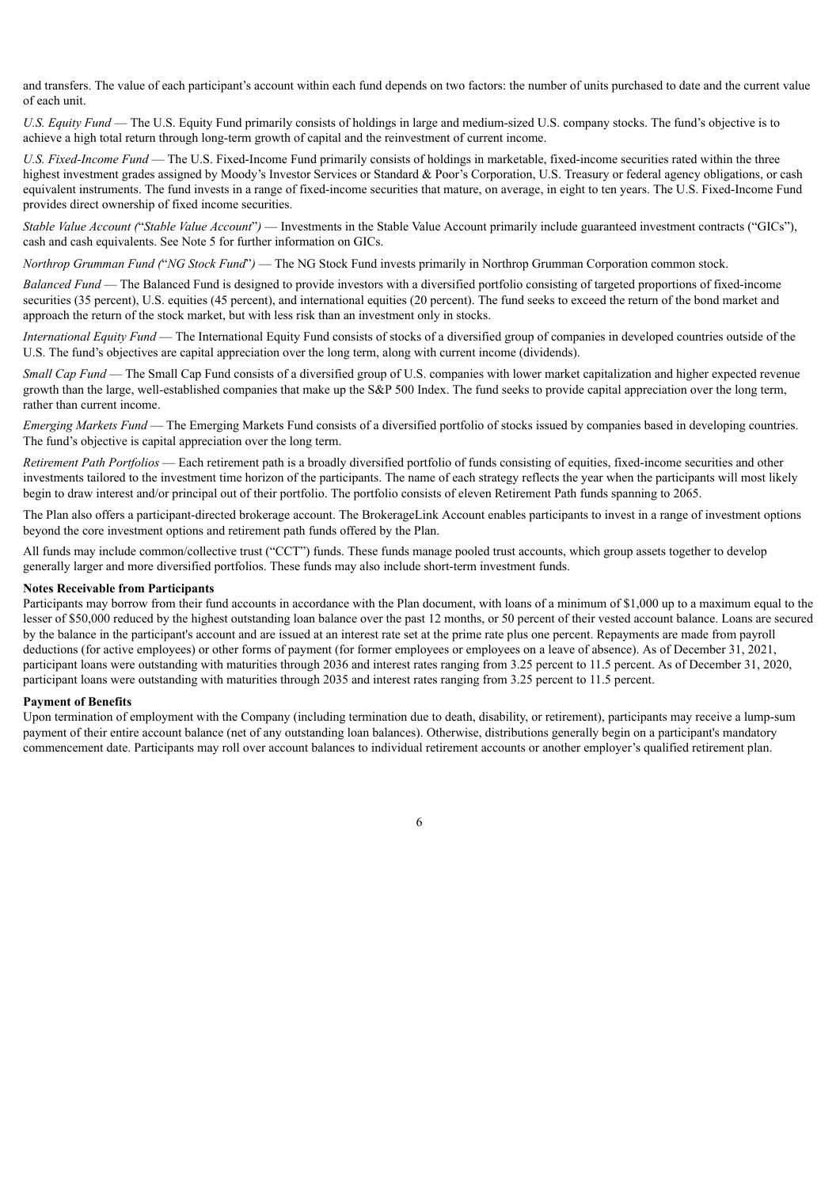and transfers. The value of each participant's account within each fund depends on two factors: the number of units purchased to date and the current value of each unit.

*U.S. Equity Fund* — The U.S. Equity Fund primarily consists of holdings in large and medium-sized U.S. company stocks. The fund's objective is to achieve a high total return through long-term growth of capital and the reinvestment of current income.

*U.S. Fixed-Income Fund* — The U.S. Fixed-Income Fund primarily consists of holdings in marketable, fixed-income securities rated within the three highest investment grades assigned by Moody's Investor Services or Standard & Poor's Corporation, U.S. Treasury or federal agency obligations, or cash equivalent instruments. The fund invests in a range of fixed-income securities that mature, on average, in eight to ten years. The U.S. Fixed-Income Fund provides direct ownership of fixed income securities.

*Stable Value Account (*"*Stable Value Account*"*)* — Investments in the Stable Value Account primarily include guaranteed investment contracts ("GICs"), cash and cash equivalents. See Note 5 for further information on GICs.

*Northrop Grumman Fund (*"*NG Stock Fund*"*)* — The NG Stock Fund invests primarily in Northrop Grumman Corporation common stock.

*Balanced Fund* — The Balanced Fund is designed to provide investors with a diversified portfolio consisting of targeted proportions of fixed-income securities (35 percent), U.S. equities (45 percent), and international equities (20 percent). The fund seeks to exceed the return of the bond market and approach the return of the stock market, but with less risk than an investment only in stocks.

*International Equity Fund* — The International Equity Fund consists of stocks of a diversified group of companies in developed countries outside of the U.S. The fund's objectives are capital appreciation over the long term, along with current income (dividends).

*Small Cap Fund* — The Small Cap Fund consists of a diversified group of U.S. companies with lower market capitalization and higher expected revenue growth than the large, well-established companies that make up the S&P 500 Index. The fund seeks to provide capital appreciation over the long term, rather than current income.

*Emerging Markets Fund* — The Emerging Markets Fund consists of a diversified portfolio of stocks issued by companies based in developing countries. The fund's objective is capital appreciation over the long term.

*Retirement Path Portfolios* — Each retirement path is a broadly diversified portfolio of funds consisting of equities, fixed-income securities and other investments tailored to the investment time horizon of the participants. The name of each strategy reflects the year when the participants will most likely begin to draw interest and/or principal out of their portfolio. The portfolio consists of eleven Retirement Path funds spanning to 2065.

The Plan also offers a participant-directed brokerage account. The BrokerageLink Account enables participants to invest in a range of investment options beyond the core investment options and retirement path funds offered by the Plan.

All funds may include common/collective trust ("CCT") funds. These funds manage pooled trust accounts, which group assets together to develop generally larger and more diversified portfolios. These funds may also include short-term investment funds.

#### **Notes Receivable from Participants**

Participants may borrow from their fund accounts in accordance with the Plan document, with loans of a minimum of \$1,000 up to a maximum equal to the lesser of \$50,000 reduced by the highest outstanding loan balance over the past 12 months, or 50 percent of their vested account balance. Loans are secured by the balance in the participant's account and are issued at an interest rate set at the prime rate plus one percent. Repayments are made from payroll deductions (for active employees) or other forms of payment (for former employees or employees on a leave of absence). As of December 31, 2021, participant loans were outstanding with maturities through 2036 and interest rates ranging from 3.25 percent to 11.5 percent. As of December 31, 2020, participant loans were outstanding with maturities through 2035 and interest rates ranging from 3.25 percent to 11.5 percent.

#### **Payment of Benefits**

Upon termination of employment with the Company (including termination due to death, disability, or retirement), participants may receive a lump-sum payment of their entire account balance (net of any outstanding loan balances). Otherwise, distributions generally begin on a participant's mandatory commencement date. Participants may roll over account balances to individual retirement accounts or another employer's qualified retirement plan.

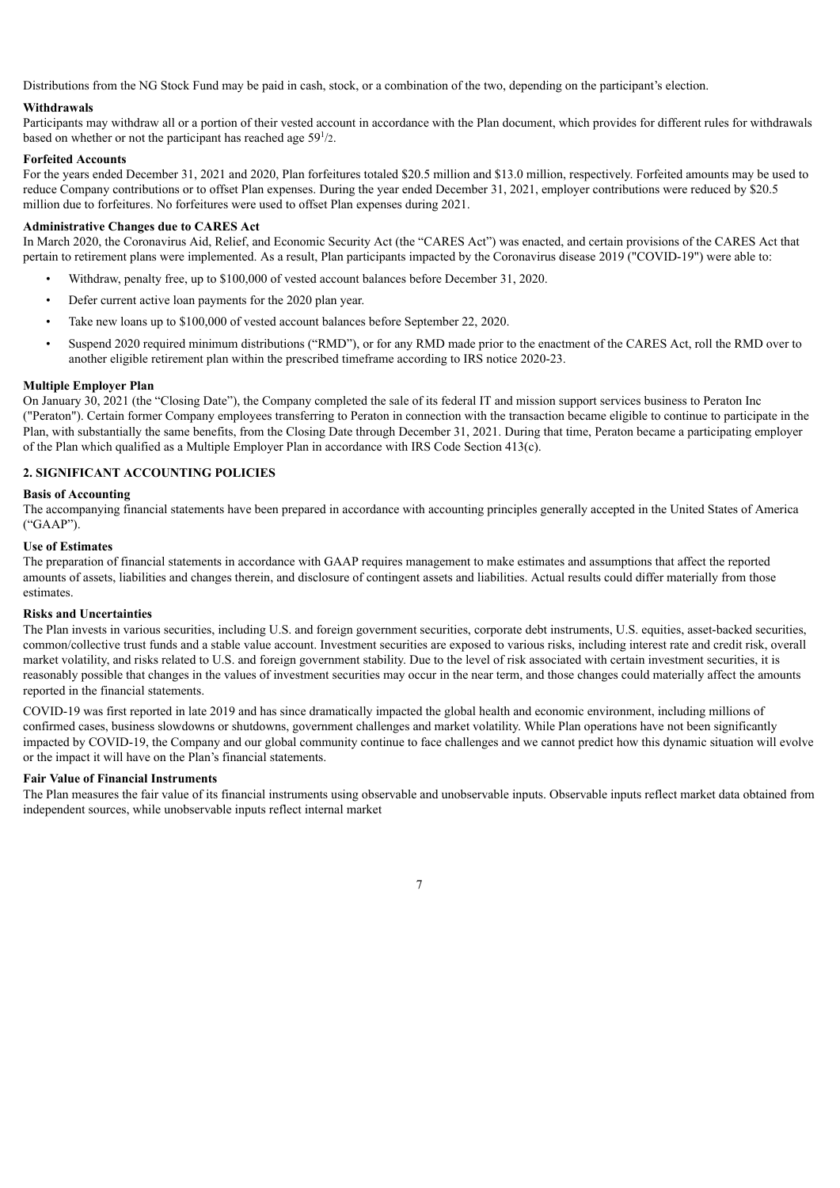Distributions from the NG Stock Fund may be paid in cash, stock, or a combination of the two, depending on the participant's election.

#### **Withdrawals**

Participants may withdraw all or a portion of their vested account in accordance with the Plan document, which provides for different rules for withdrawals based on whether or not the participant has reached age  $59<sup>1</sup>/2$ .

#### **Forfeited Accounts**

For the years ended December 31, 2021 and 2020, Plan forfeitures totaled \$20.5 million and \$13.0 million, respectively. Forfeited amounts may be used to reduce Company contributions or to offset Plan expenses. During the year ended December 31, 2021, employer contributions were reduced by \$20.5 million due to forfeitures. No forfeitures were used to offset Plan expenses during 2021.

#### **Administrative Changes due to CARES Act**

In March 2020, the Coronavirus Aid, Relief, and Economic Security Act (the "CARES Act") was enacted, and certain provisions of the CARES Act that pertain to retirement plans were implemented. As a result, Plan participants impacted by the Coronavirus disease 2019 ("COVID-19") were able to:

- Withdraw, penalty free, up to \$100,000 of vested account balances before December 31, 2020.
- Defer current active loan payments for the 2020 plan year.
- Take new loans up to \$100,000 of vested account balances before September 22, 2020.
- Suspend 2020 required minimum distributions ("RMD"), or for any RMD made prior to the enactment of the CARES Act, roll the RMD over to another eligible retirement plan within the prescribed timeframe according to IRS notice 2020-23.

#### **Multiple Employer Plan**

On January 30, 2021 (the "Closing Date"), the Company completed the sale of its federal IT and mission support services business to Peraton Inc ("Peraton"). Certain former Company employees transferring to Peraton in connection with the transaction became eligible to continue to participate in the Plan, with substantially the same benefits, from the Closing Date through December 31, 2021. During that time, Peraton became a participating employer of the Plan which qualified as a Multiple Employer Plan in accordance with IRS Code Section 413(c).

#### **2. SIGNIFICANT ACCOUNTING POLICIES**

#### **Basis of Accounting**

The accompanying financial statements have been prepared in accordance with accounting principles generally accepted in the United States of America ("GAAP").

#### **Use of Estimates**

The preparation of financial statements in accordance with GAAP requires management to make estimates and assumptions that affect the reported amounts of assets, liabilities and changes therein, and disclosure of contingent assets and liabilities. Actual results could differ materially from those estimates.

#### **Risks and Uncertainties**

The Plan invests in various securities, including U.S. and foreign government securities, corporate debt instruments, U.S. equities, asset-backed securities, common/collective trust funds and a stable value account. Investment securities are exposed to various risks, including interest rate and credit risk, overall market volatility, and risks related to U.S. and foreign government stability. Due to the level of risk associated with certain investment securities, it is reasonably possible that changes in the values of investment securities may occur in the near term, and those changes could materially affect the amounts reported in the financial statements.

COVID-19 was first reported in late 2019 and has since dramatically impacted the global health and economic environment, including millions of confirmed cases, business slowdowns or shutdowns, government challenges and market volatility. While Plan operations have not been significantly impacted by COVID-19, the Company and our global community continue to face challenges and we cannot predict how this dynamic situation will evolve or the impact it will have on the Plan's financial statements.

#### **Fair Value of Financial Instruments**

The Plan measures the fair value of its financial instruments using observable and unobservable inputs. Observable inputs reflect market data obtained from independent sources, while unobservable inputs reflect internal market

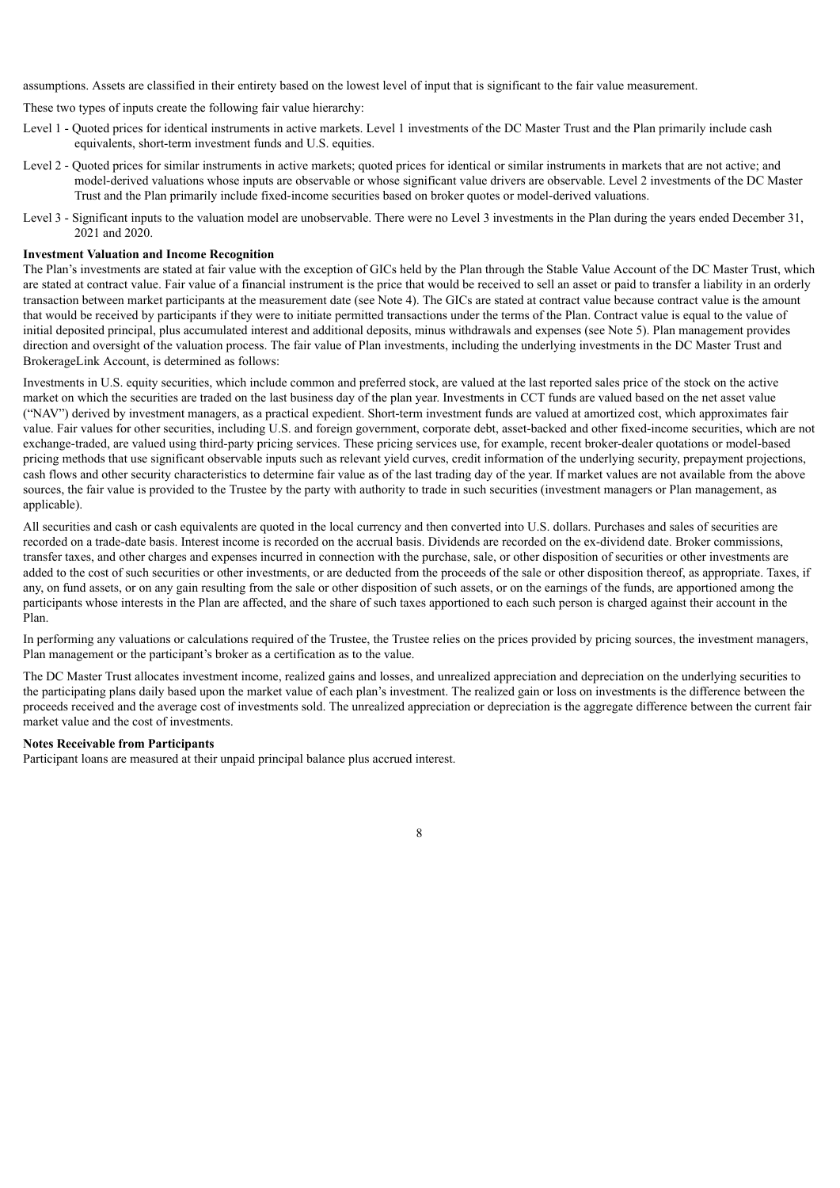assumptions. Assets are classified in their entirety based on the lowest level of input that is significant to the fair value measurement.

These two types of inputs create the following fair value hierarchy:

- Level 1 Quoted prices for identical instruments in active markets. Level 1 investments of the DC Master Trust and the Plan primarily include cash equivalents, short-term investment funds and U.S. equities.
- Level 2 Quoted prices for similar instruments in active markets; quoted prices for identical or similar instruments in markets that are not active; and model-derived valuations whose inputs are observable or whose significant value drivers are observable. Level 2 investments of the DC Master Trust and the Plan primarily include fixed-income securities based on broker quotes or model-derived valuations.
- Level 3 Significant inputs to the valuation model are unobservable. There were no Level 3 investments in the Plan during the years ended December 31, 2021 and 2020.

#### **Investment Valuation and Income Recognition**

The Plan's investments are stated at fair value with the exception of GICs held by the Plan through the Stable Value Account of the DC Master Trust, which are stated at contract value. Fair value of a financial instrument is the price that would be received to sell an asset or paid to transfer a liability in an orderly transaction between market participants at the measurement date (see Note 4). The GICs are stated at contract value because contract value is the amount that would be received by participants if they were to initiate permitted transactions under the terms of the Plan. Contract value is equal to the value of initial deposited principal, plus accumulated interest and additional deposits, minus withdrawals and expenses (see Note 5). Plan management provides direction and oversight of the valuation process. The fair value of Plan investments, including the underlying investments in the DC Master Trust and BrokerageLink Account, is determined as follows:

Investments in U.S. equity securities, which include common and preferred stock, are valued at the last reported sales price of the stock on the active market on which the securities are traded on the last business day of the plan year. Investments in CCT funds are valued based on the net asset value ("NAV") derived by investment managers, as a practical expedient. Short-term investment funds are valued at amortized cost, which approximates fair value. Fair values for other securities, including U.S. and foreign government, corporate debt, asset-backed and other fixed-income securities, which are not exchange-traded, are valued using third-party pricing services. These pricing services use, for example, recent broker-dealer quotations or model-based pricing methods that use significant observable inputs such as relevant yield curves, credit information of the underlying security, prepayment projections, cash flows and other security characteristics to determine fair value as of the last trading day of the year. If market values are not available from the above sources, the fair value is provided to the Trustee by the party with authority to trade in such securities (investment managers or Plan management, as applicable).

All securities and cash or cash equivalents are quoted in the local currency and then converted into U.S. dollars. Purchases and sales of securities are recorded on a trade-date basis. Interest income is recorded on the accrual basis. Dividends are recorded on the ex-dividend date. Broker commissions, transfer taxes, and other charges and expenses incurred in connection with the purchase, sale, or other disposition of securities or other investments are added to the cost of such securities or other investments, or are deducted from the proceeds of the sale or other disposition thereof, as appropriate. Taxes, if any, on fund assets, or on any gain resulting from the sale or other disposition of such assets, or on the earnings of the funds, are apportioned among the participants whose interests in the Plan are affected, and the share of such taxes apportioned to each such person is charged against their account in the Plan.

In performing any valuations or calculations required of the Trustee, the Trustee relies on the prices provided by pricing sources, the investment managers, Plan management or the participant's broker as a certification as to the value.

The DC Master Trust allocates investment income, realized gains and losses, and unrealized appreciation and depreciation on the underlying securities to the participating plans daily based upon the market value of each plan's investment. The realized gain or loss on investments is the difference between the proceeds received and the average cost of investments sold. The unrealized appreciation or depreciation is the aggregate difference between the current fair market value and the cost of investments.

#### **Notes Receivable from Participants**

Participant loans are measured at their unpaid principal balance plus accrued interest.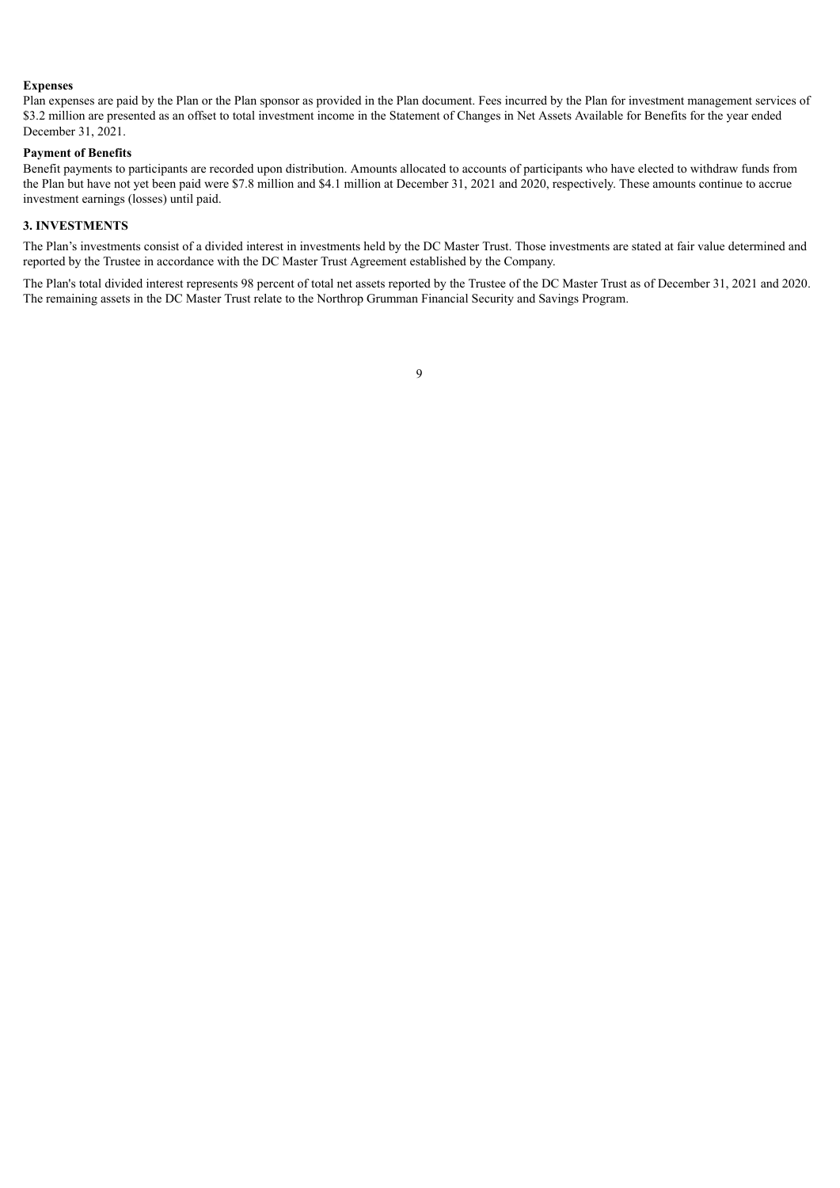#### **Expenses**

Plan expenses are paid by the Plan or the Plan sponsor as provided in the Plan document. Fees incurred by the Plan for investment management services of \$3.2 million are presented as an offset to total investment income in the Statement of Changes in Net Assets Available for Benefits for the year ended December 31, 2021.

#### **Payment of Benefits**

Benefit payments to participants are recorded upon distribution. Amounts allocated to accounts of participants who have elected to withdraw funds from the Plan but have not yet been paid were \$7.8 million and \$4.1 million at December 31, 2021 and 2020, respectively. These amounts continue to accrue investment earnings (losses) until paid.

#### **3. INVESTMENTS**

The Plan's investments consist of a divided interest in investments held by the DC Master Trust. Those investments are stated at fair value determined and reported by the Trustee in accordance with the DC Master Trust Agreement established by the Company.

The Plan's total divided interest represents 98 percent of total net assets reported by the Trustee of the DC Master Trust as of December 31, 2021 and 2020. The remaining assets in the DC Master Trust relate to the Northrop Grumman Financial Security and Savings Program.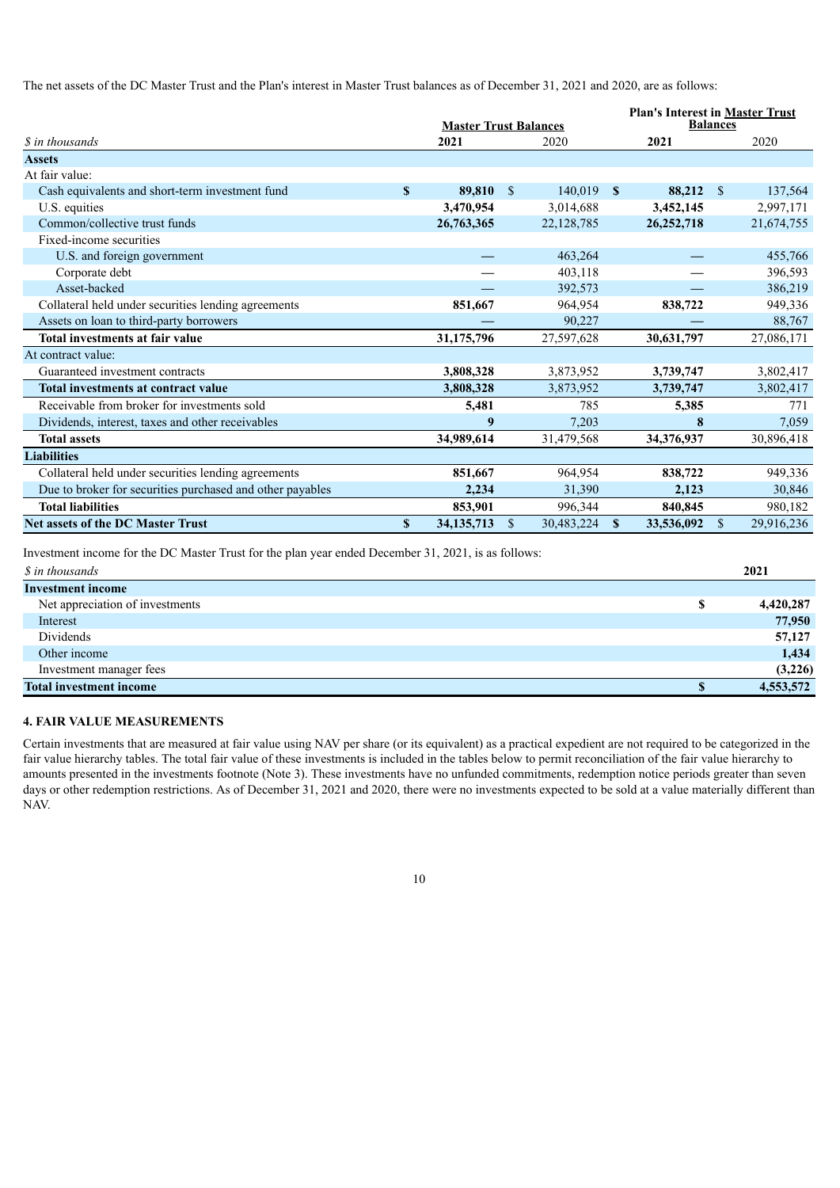The net assets of the DC Master Trust and the Plan's interest in Master Trust balances as of December 31, 2021 and 2020, are as follows:

|                                                           | <b>Master Trust Balances</b> |              |               |              |              |              | <b>Plan's Interest in Master Trust</b><br><b>Balances</b> |            |  |  |  |  |
|-----------------------------------------------------------|------------------------------|--------------|---------------|--------------|--------------|--------------|-----------------------------------------------------------|------------|--|--|--|--|
| <i>S</i> in thousands                                     |                              | 2021         | 2020          |              | 2021         |              | 2020                                                      |            |  |  |  |  |
| <b>Assets</b>                                             |                              |              |               |              |              |              |                                                           |            |  |  |  |  |
| At fair value:                                            |                              |              |               |              |              |              |                                                           |            |  |  |  |  |
| Cash equivalents and short-term investment fund           | S                            | 89,810       | <sup>S</sup>  | 140,019      | <b>S</b>     | 88,212 \$    |                                                           | 137,564    |  |  |  |  |
| U.S. equities                                             |                              | 3,470,954    |               | 3,014,688    |              | 3,452,145    |                                                           | 2,997,171  |  |  |  |  |
| Common/collective trust funds                             |                              | 26,763,365   |               | 22, 128, 785 |              | 26, 252, 718 |                                                           | 21,674,755 |  |  |  |  |
| Fixed-income securities                                   |                              |              |               |              |              |              |                                                           |            |  |  |  |  |
| U.S. and foreign government                               |                              |              |               | 463,264      |              |              |                                                           | 455,766    |  |  |  |  |
| Corporate debt                                            |                              |              |               | 403,118      |              |              |                                                           | 396,593    |  |  |  |  |
| Asset-backed                                              |                              |              |               | 392,573      |              |              |                                                           | 386,219    |  |  |  |  |
| Collateral held under securities lending agreements       |                              | 851,667      |               | 964,954      |              | 838,722      |                                                           | 949,336    |  |  |  |  |
| Assets on loan to third-party borrowers                   |                              |              |               | 90,227       |              |              |                                                           | 88,767     |  |  |  |  |
| Total investments at fair value                           |                              | 31,175,796   |               | 27,597,628   |              | 30,631,797   |                                                           | 27,086,171 |  |  |  |  |
| At contract value:                                        |                              |              |               |              |              |              |                                                           |            |  |  |  |  |
| Guaranteed investment contracts                           |                              | 3,808,328    |               | 3,873,952    |              | 3,739,747    |                                                           | 3,802,417  |  |  |  |  |
| <b>Total investments at contract value</b>                |                              | 3,808,328    |               | 3,873,952    |              | 3,739,747    |                                                           | 3,802,417  |  |  |  |  |
| Receivable from broker for investments sold               |                              | 5,481        |               | 785          |              | 5,385        |                                                           | 771        |  |  |  |  |
| Dividends, interest, taxes and other receivables          |                              | 9            |               | 7,203        |              | 8            |                                                           | 7,059      |  |  |  |  |
| <b>Total assets</b>                                       |                              | 34,989,614   |               | 31,479,568   |              | 34,376,937   |                                                           | 30,896,418 |  |  |  |  |
| <b>Liabilities</b>                                        |                              |              |               |              |              |              |                                                           |            |  |  |  |  |
| Collateral held under securities lending agreements       |                              | 851,667      |               | 964,954      |              | 838,722      |                                                           | 949,336    |  |  |  |  |
| Due to broker for securities purchased and other payables |                              | 2,234        |               | 31,390       |              | 2,123        |                                                           | 30,846     |  |  |  |  |
| <b>Total liabilities</b>                                  |                              | 853,901      |               | 996,344      |              | 840,845      |                                                           | 980,182    |  |  |  |  |
| <b>Net assets of the DC Master Trust</b>                  | $\mathbf{s}$                 | 34, 135, 713 | <sup>\$</sup> | 30,483,224   | $\mathbf{s}$ | 33,536,092   | $\mathbb{S}$                                              | 29,916,236 |  |  |  |  |

Investment income for the DC Master Trust for the plan year ended December 31, 2021, is as follows:

| <i>S</i> in thousands           |   | 2021      |
|---------------------------------|---|-----------|
| <b>Investment income</b>        |   |           |
| Net appreciation of investments | S | 4,420,287 |
| Interest                        |   | 77,950    |
| Dividends                       |   | 57,127    |
| Other income                    |   | 1,434     |
| Investment manager fees         |   | (3,226)   |
| <b>Total investment income</b>  |   | 4,553,572 |

#### **4. FAIR VALUE MEASUREMENTS**

Certain investments that are measured at fair value using NAV per share (or its equivalent) as a practical expedient are not required to be categorized in the fair value hierarchy tables. The total fair value of these investments is included in the tables below to permit reconciliation of the fair value hierarchy to amounts presented in the investments footnote (Note 3). These investments have no unfunded commitments, redemption notice periods greater than seven days or other redemption restrictions. As of December 31, 2021 and 2020, there were no investments expected to be sold at a value materially different than NAV.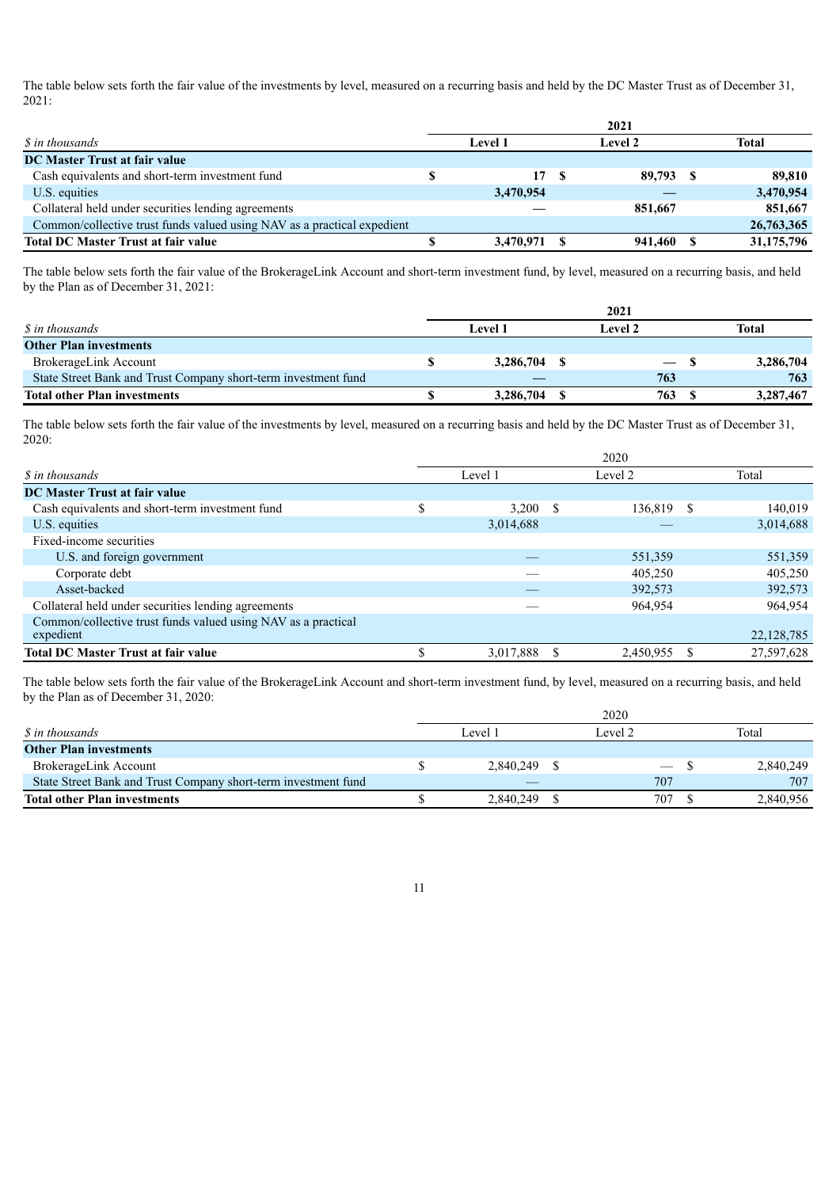The table below sets forth the fair value of the investments by level, measured on a recurring basis and held by the DC Master Trust as of December 31, 2021:

|                                                                         |                | 2021           |              |
|-------------------------------------------------------------------------|----------------|----------------|--------------|
| <i>S</i> in thousands                                                   | <b>Level 1</b> | <b>Level 2</b> | <b>Total</b> |
| DC Master Trust at fair value                                           |                |                |              |
| Cash equivalents and short-term investment fund                         | 17 S           | 89,793         | 89,810       |
| U.S. equities                                                           | 3,470,954      |                | 3,470,954    |
| Collateral held under securities lending agreements                     |                | 851,667        | 851.667      |
| Common/collective trust funds valued using NAV as a practical expedient |                |                | 26,763,365   |
| <b>Total DC Master Trust at fair value</b>                              | 3,470,971      | 941,460        | 31,175,796   |

The table below sets forth the fair value of the BrokerageLink Account and short-term investment fund, by level, measured on a recurring basis, and held by the Plan as of December 31, 2021:

|                                                                | 2021           |  |         |  |              |
|----------------------------------------------------------------|----------------|--|---------|--|--------------|
| <i>S</i> in thousands                                          | <b>Level 1</b> |  | Level 2 |  | <b>Total</b> |
| <b>Other Plan investments</b>                                  |                |  |         |  |              |
| BrokerageLink Account                                          | 3,286,704      |  |         |  | 3,286,704    |
| State Street Bank and Trust Company short-term investment fund |                |  | 763     |  | 763          |
| <b>Total other Plan investments</b>                            | 3,286,704      |  | 763     |  | 3,287,467    |

The table below sets forth the fair value of the investments by level, measured on a recurring basis and held by the DC Master Trust as of December 31, 2020:

|                                                               | 2020 |           |    |           |     |              |
|---------------------------------------------------------------|------|-----------|----|-----------|-----|--------------|
| <i>S</i> in thousands                                         |      | Level 1   |    | Level 2   |     | Total        |
| DC Master Trust at fair value                                 |      |           |    |           |     |              |
| Cash equivalents and short-term investment fund               | \$   | 3,200     | -S | 136,819   | \$. | 140,019      |
| U.S. equities                                                 |      | 3,014,688 |    |           |     | 3,014,688    |
| Fixed-income securities                                       |      |           |    |           |     |              |
| U.S. and foreign government                                   |      |           |    | 551,359   |     | 551,359      |
| Corporate debt                                                |      |           |    | 405,250   |     | 405,250      |
| Asset-backed                                                  |      |           |    | 392,573   |     | 392,573      |
| Collateral held under securities lending agreements           |      |           |    | 964,954   |     | 964,954      |
| Common/collective trust funds valued using NAV as a practical |      |           |    |           |     |              |
| expedient                                                     |      |           |    |           |     | 22, 128, 785 |
| <b>Total DC Master Trust at fair value</b>                    |      | 3,017,888 |    | 2,450,955 |     | 27,597,628   |

The table below sets forth the fair value of the BrokerageLink Account and short-term investment fund, by level, measured on a recurring basis, and held by the Plan as of December 31, 2020:

|                                                                |           | 2020    |                   |           |
|----------------------------------------------------------------|-----------|---------|-------------------|-----------|
| <i>S</i> in thousands                                          | Level :   | Level 2 |                   | Total     |
| <b>Other Plan investments</b>                                  |           |         |                   |           |
| BrokerageLink Account                                          | 2,840,249 |         | $\hspace{0.05cm}$ | 2,840,249 |
| State Street Bank and Trust Company short-term investment fund |           |         | 707               | 707       |
| <b>Total other Plan investments</b>                            | 2.840.249 |         | 707               | 2,840,956 |

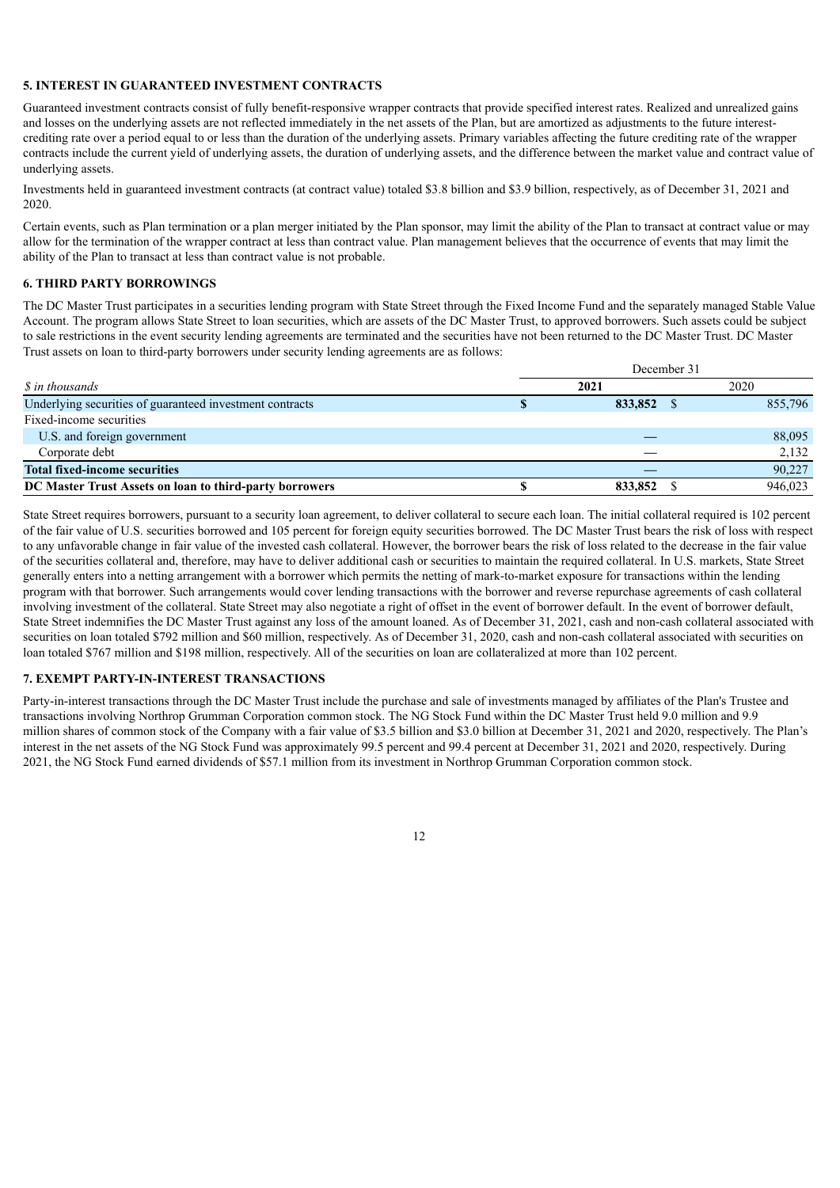#### **5. INTEREST IN GUARANTEED INVESTMENT CONTRACTS**

Guaranteed investment contracts consist of fully benefit-responsive wrapper contracts that provide specified interest rates. Realized and unrealized gains and losses on the underlying assets are not reflected immediately in the net assets of the Plan, but are amortized as adjustments to the future interestcrediting rate over a period equal to or less than the duration of the underlying assets. Primary variables affecting the future crediting rate of the wrapper contracts include the current yield of underlying assets, the duration of underlying assets, and the difference between the market value and contract value of underlying assets.

Investments held in guaranteed investment contracts (at contract value) totaled \$3.8 billion and \$3.9 billion, respectively, as of December 31, 2021 and 2020.

Certain events, such as Plan termination or a plan merger initiated by the Plan sponsor, may limit the ability of the Plan to transact at contract value or may allow for the termination of the wrapper contract at less than contract value. Plan management believes that the occurrence of events that may limit the ability of the Plan to transact at less than contract value is not probable.

#### **6. THIRD PARTY BORROWINGS**

The DC Master Trust participates in a securities lending program with State Street through the Fixed Income Fund and the separately managed Stable Value Account. The program allows State Street to loan securities, which are assets of the DC Master Trust, to approved borrowers. Such assets could be subject to sale restrictions in the event security lending agreements are terminated and the securities have not been returned to the DC Master Trust. DC Master Trust assets on loan to third-party borrowers under security lending agreements are as follows:

|                                                          | December 31 |         |  |      |         |
|----------------------------------------------------------|-------------|---------|--|------|---------|
| <i>S</i> in thousands                                    | 2021        |         |  | 2020 |         |
| Underlying securities of guaranteed investment contracts |             | 833,852 |  |      | 855,796 |
| Fixed-income securities                                  |             |         |  |      |         |
| U.S. and foreign government                              |             |         |  |      | 88,095  |
| Corporate debt                                           |             |         |  |      | 2,132   |
| <b>Total fixed-income securities</b>                     |             |         |  |      | 90,227  |
| DC Master Trust Assets on loan to third-party borrowers  |             | 833,852 |  |      | 946,023 |

State Street requires borrowers, pursuant to a security loan agreement, to deliver collateral to secure each loan. The initial collateral required is 102 percent of the fair value of U.S. securities borrowed and 105 percent for foreign equity securities borrowed. The DC Master Trust bears the risk of loss with respect to any unfavorable change in fair value of the invested cash collateral. However, the borrower bears the risk of loss related to the decrease in the fair value of the securities collateral and, therefore, may have to deliver additional cash or securities to maintain the required collateral. In U.S. markets, State Street generally enters into a netting arrangement with a borrower which permits the netting of mark-to-market exposure for transactions within the lending program with that borrower. Such arrangements would cover lending transactions with the borrower and reverse repurchase agreements of cash collateral involving investment of the collateral. State Street may also negotiate a right of offset in the event of borrower default. In the event of borrower default, State Street indemnifies the DC Master Trust against any loss of the amount loaned. As of December 31, 2021, cash and non-cash collateral associated with securities on loan totaled \$792 million and \$60 million, respectively. As of December 31, 2020, cash and non-cash collateral associated with securities on loan totaled \$767 million and \$198 million, respectively. All of the securities on loan are collateralized at more than 102 percent.

#### **7. EXEMPT PARTY-IN-INTEREST TRANSACTIONS**

Party-in-interest transactions through the DC Master Trust include the purchase and sale of investments managed by affiliates of the Plan's Trustee and transactions involving Northrop Grumman Corporation common stock. The NG Stock Fund within the DC Master Trust held 9.0 million and 9.9 million shares of common stock of the Company with a fair value of \$3.5 billion and \$3.0 billion at December 31, 2021 and 2020, respectively. The Plan's interest in the net assets of the NG Stock Fund was approximately 99.5 percent and 99.4 percent at December 31, 2021 and 2020, respectively. During 2021, the NG Stock Fund earned dividends of \$57.1 million from its investment in Northrop Grumman Corporation common stock.

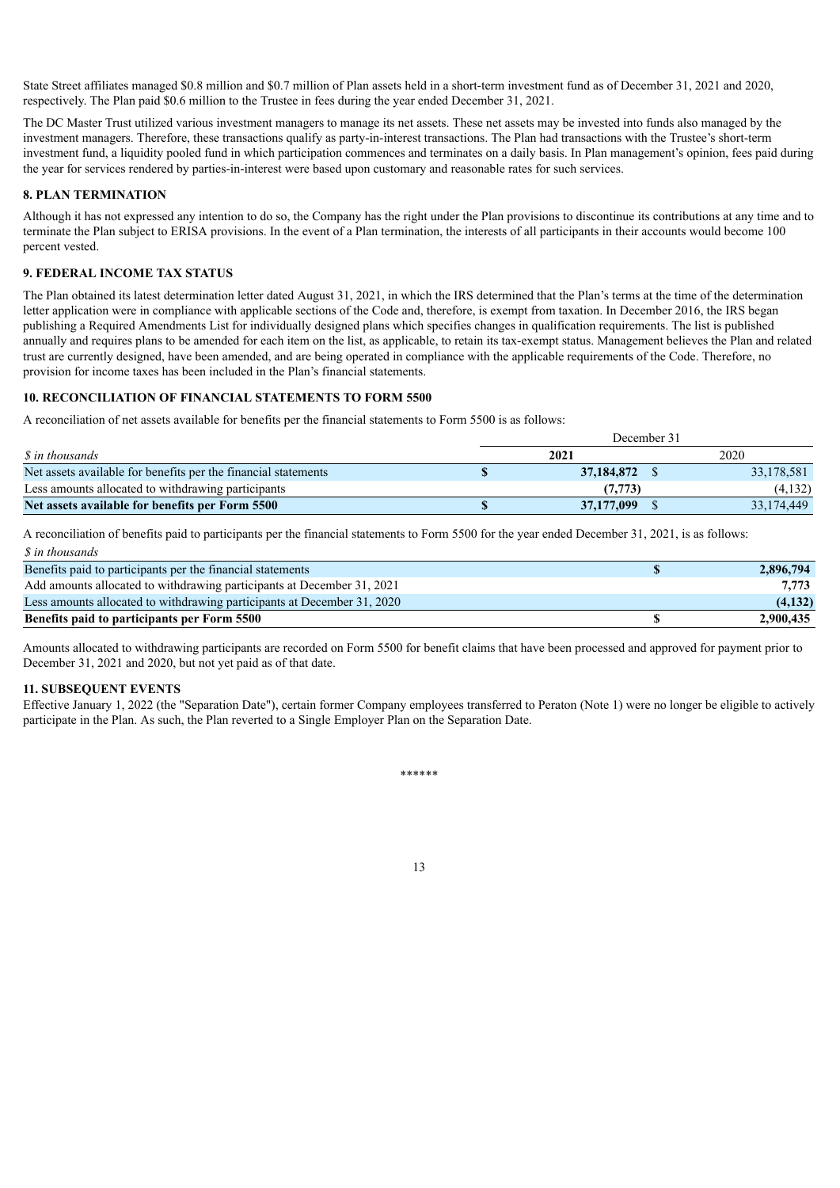State Street affiliates managed \$0.8 million and \$0.7 million of Plan assets held in a short-term investment fund as of December 31, 2021 and 2020, respectively. The Plan paid \$0.6 million to the Trustee in fees during the year ended December 31, 2021.

The DC Master Trust utilized various investment managers to manage its net assets. These net assets may be invested into funds also managed by the investment managers. Therefore, these transactions qualify as party-in-interest transactions. The Plan had transactions with the Trustee's short-term investment fund, a liquidity pooled fund in which participation commences and terminates on a daily basis. In Plan management's opinion, fees paid during the year for services rendered by parties-in-interest were based upon customary and reasonable rates for such services.

#### **8. PLAN TERMINATION**

Although it has not expressed any intention to do so, the Company has the right under the Plan provisions to discontinue its contributions at any time and to terminate the Plan subject to ERISA provisions. In the event of a Plan termination, the interests of all participants in their accounts would become 100 percent vested.

#### **9. FEDERAL INCOME TAX STATUS**

The Plan obtained its latest determination letter dated August 31, 2021, in which the IRS determined that the Plan's terms at the time of the determination letter application were in compliance with applicable sections of the Code and, therefore, is exempt from taxation. In December 2016, the IRS began publishing a Required Amendments List for individually designed plans which specifies changes in qualification requirements. The list is published annually and requires plans to be amended for each item on the list, as applicable, to retain its tax-exempt status. Management believes the Plan and related trust are currently designed, have been amended, and are being operated in compliance with the applicable requirements of the Code. Therefore, no provision for income taxes has been included in the Plan's financial statements.

#### **10. RECONCILIATION OF FINANCIAL STATEMENTS TO FORM 5500**

A reconciliation of net assets available for benefits per the financial statements to Form 5500 is as follows:

|                                                                | December 31 |            |              |  |
|----------------------------------------------------------------|-------------|------------|--------------|--|
| <i>S</i> in thousands                                          |             | 2021       | 2020         |  |
| Net assets available for benefits per the financial statements |             | 37,184,872 | 33,178,581   |  |
| Less amounts allocated to withdrawing participants             |             | (7, 773)   | (4,132)      |  |
| Net assets available for benefits per Form 5500                |             | 37,177,099 | 33, 174, 449 |  |

A reconciliation of benefits paid to participants per the financial statements to Form 5500 for the year ended December 31, 2021, is as follows:  $\phi$  *i t*<sub>1</sub>

| s in inousanas                                                          |           |
|-------------------------------------------------------------------------|-----------|
| Benefits paid to participants per the financial statements              | 2,896,794 |
| Add amounts allocated to withdrawing participants at December 31, 2021  | 7.773     |
| Less amounts allocated to withdrawing participants at December 31, 2020 | (4,132)   |
| <b>Benefits paid to participants per Form 5500</b>                      | 2,900,435 |
|                                                                         |           |

Amounts allocated to withdrawing participants are recorded on Form 5500 for benefit claims that have been processed and approved for payment prior to December 31, 2021 and 2020, but not yet paid as of that date.

#### **11. SUBSEQUENT EVENTS**

<span id="page-15-0"></span>Effective January 1, 2022 (the "Separation Date"), certain former Company employees transferred to Peraton (Note 1) were no longer be eligible to actively participate in the Plan. As such, the Plan reverted to a Single Employer Plan on the Separation Date.

\*\*\*\*\*\*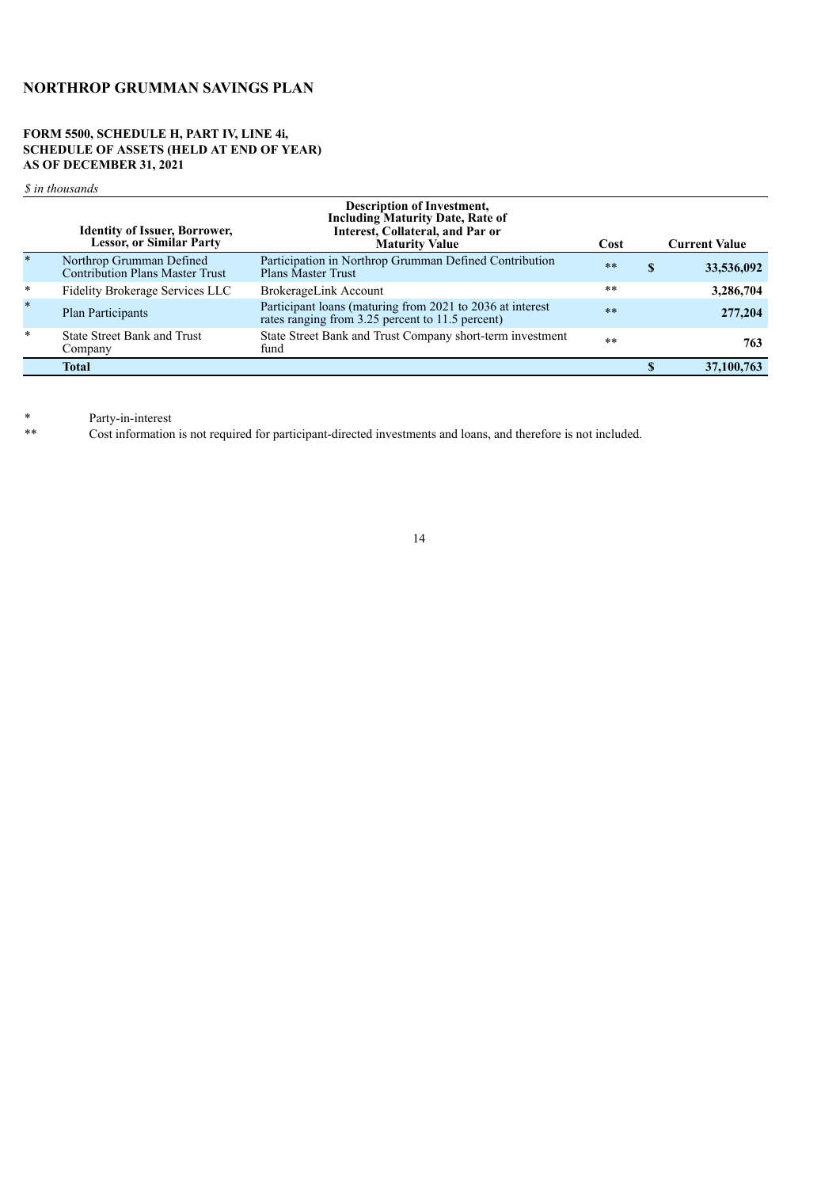# **FORM 5500, SCHEDULE H, PART IV, LINE 4i, SCHEDULE OF ASSETS (HELD AT END OF YEAR) AS OF DECEMBER 31, 2021**

*\$ in thousands*

|        | <b>Identity of Issuer, Borrower,</b>                               | <b>Description of Investment,</b><br><b>Including Maturity Date, Rate of</b><br>Interest, Collateral, and Par or |      |                      |
|--------|--------------------------------------------------------------------|------------------------------------------------------------------------------------------------------------------|------|----------------------|
|        | <b>Lessor, or Similar Party</b>                                    | <b>Maturity Value</b>                                                                                            | Cost | <b>Current Value</b> |
| $\ast$ | Northrop Grumman Defined<br><b>Contribution Plans Master Trust</b> | Participation in Northrop Grumman Defined Contribution<br>Plans Master Trust                                     | $**$ | 33,536,092           |
| $\ast$ | <b>Fidelity Brokerage Services LLC</b>                             | BrokerageLink Account                                                                                            | $**$ | 3,286,704            |
| $\ast$ | <b>Plan Participants</b>                                           | Participant loans (maturing from 2021 to 2036 at interest<br>rates ranging from 3.25 percent to 11.5 percent)    | $**$ | 277,204              |
| $\ast$ | <b>State Street Bank and Trust</b><br>Company                      | State Street Bank and Trust Company short-term investment<br>fund                                                | $**$ | 763                  |
|        | <b>Total</b>                                                       |                                                                                                                  |      | 37,100,763           |

\* Party-in-interest

<span id="page-16-0"></span>Cost information is not required for participant-directed investments and loans, and therefore is not included.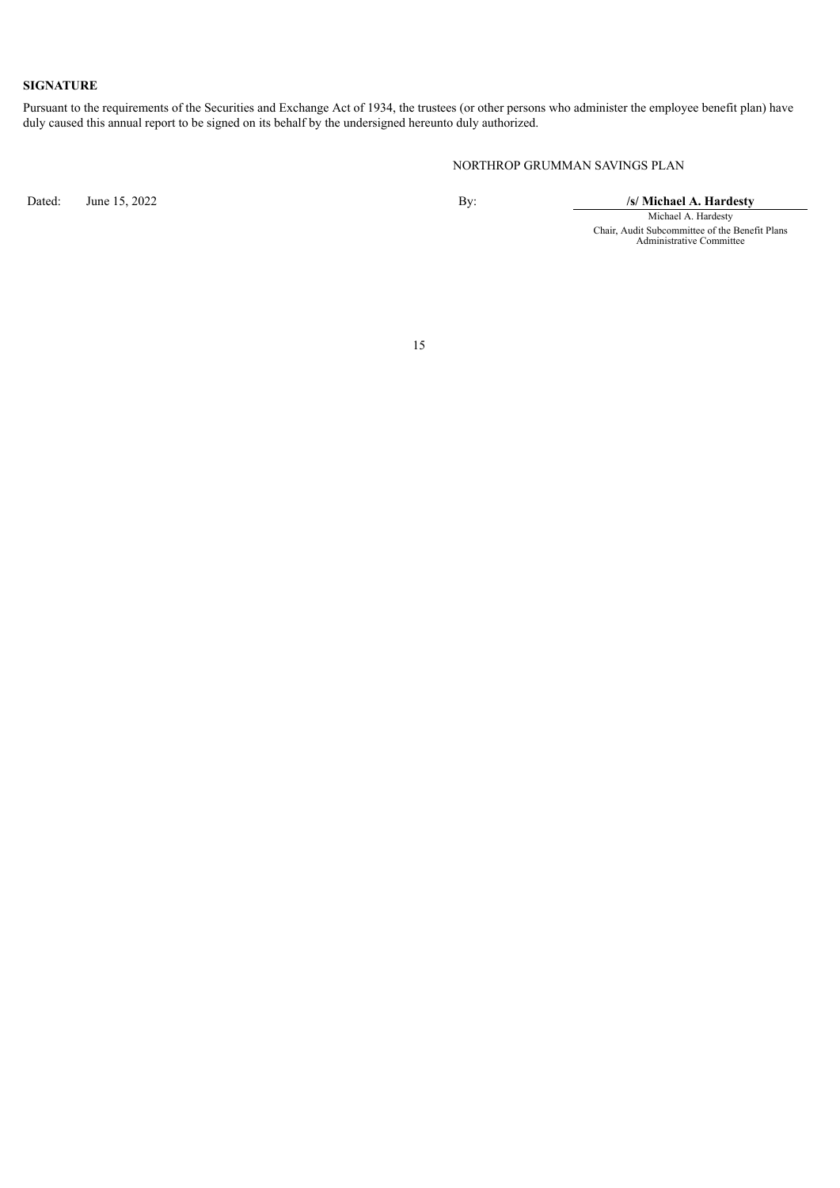# **SIGNATURE**

Pursuant to the requirements of the Securities and Exchange Act of 1934, the trustees (or other persons who administer the employee benefit plan) have duly caused this annual report to be signed on its behalf by the undersigned hereunto duly authorized.

## NORTHROP GRUMMAN SAVINGS PLAN

<span id="page-17-0"></span>Dated: June 15, 2022 By: **/s/ Michael A. Hardesty**

Michael A. Hardesty Chair, Audit Subcommittee of the Benefit Plans Administrative Committee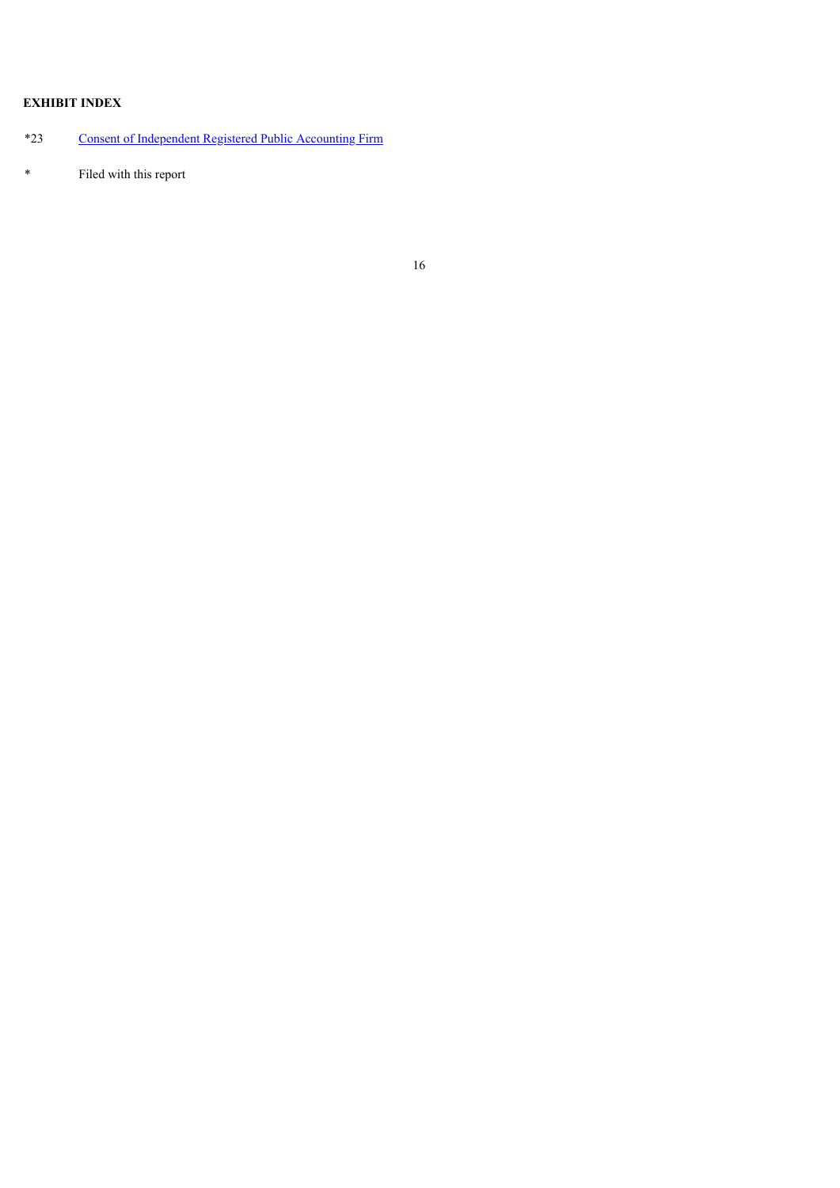# **EXHIBIT INDEX**

- \*23 Consent of [Independent](#page-19-0) Registered Public Accounting Firm
- \* Filed with this report